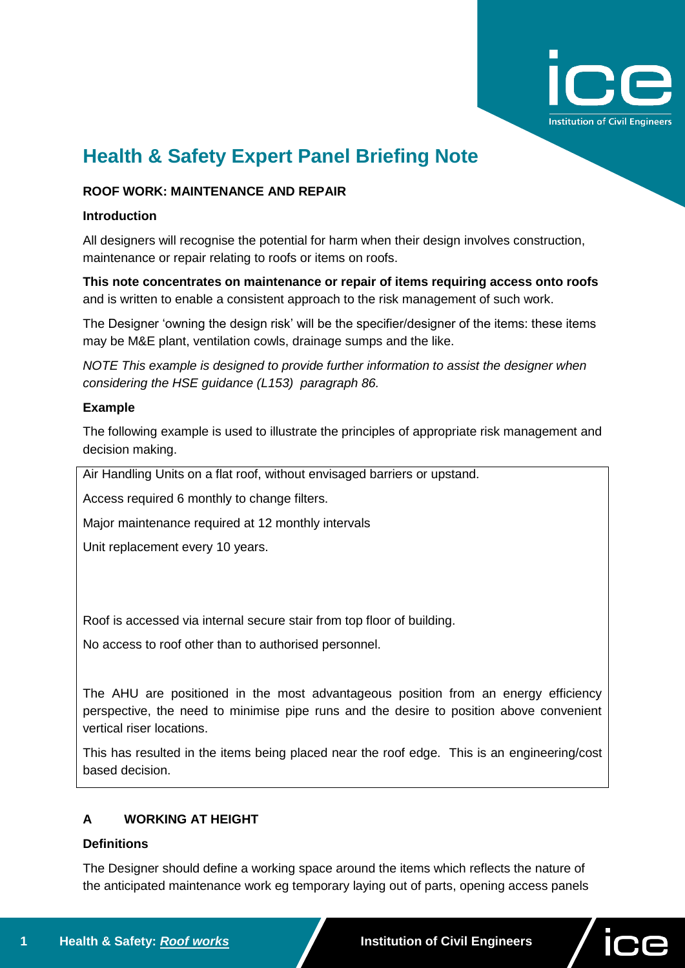

# **Health & Safety Expert Panel Briefing Note**

## **ROOF WORK: MAINTENANCE AND REPAIR**

#### **Introduction**

All designers will recognise the potential for harm when their design involves construction, maintenance or repair relating to roofs or items on roofs.

**This note concentrates on maintenance or repair of items requiring access onto roofs** and is written to enable a consistent approach to the risk management of such work.

The Designer 'owning the design risk' will be the specifier/designer of the items: these items may be M&E plant, ventilation cowls, drainage sumps and the like.

*NOTE This example is designed to provide further information to assist the designer when considering the HSE guidance (L153) paragraph 86.* 

#### **Example**

The following example is used to illustrate the principles of appropriate risk management and decision making.

Air Handling Units on a flat roof, without envisaged barriers or upstand.

Access required 6 monthly to change filters.

Major maintenance required at 12 monthly intervals

Unit replacement every 10 years.

Roof is accessed via internal secure stair from top floor of building.

No access to roof other than to authorised personnel.

The AHU are positioned in the most advantageous position from an energy efficiency perspective, the need to minimise pipe runs and the desire to position above convenient vertical riser locations.

This has resulted in the items being placed near the roof edge. This is an engineering/cost based decision.

# **A WORKING AT HEIGHT**

## **Definitions**

The Designer should define a working space around the items which reflects the nature of the anticipated maintenance work eg temporary laying out of parts, opening access panels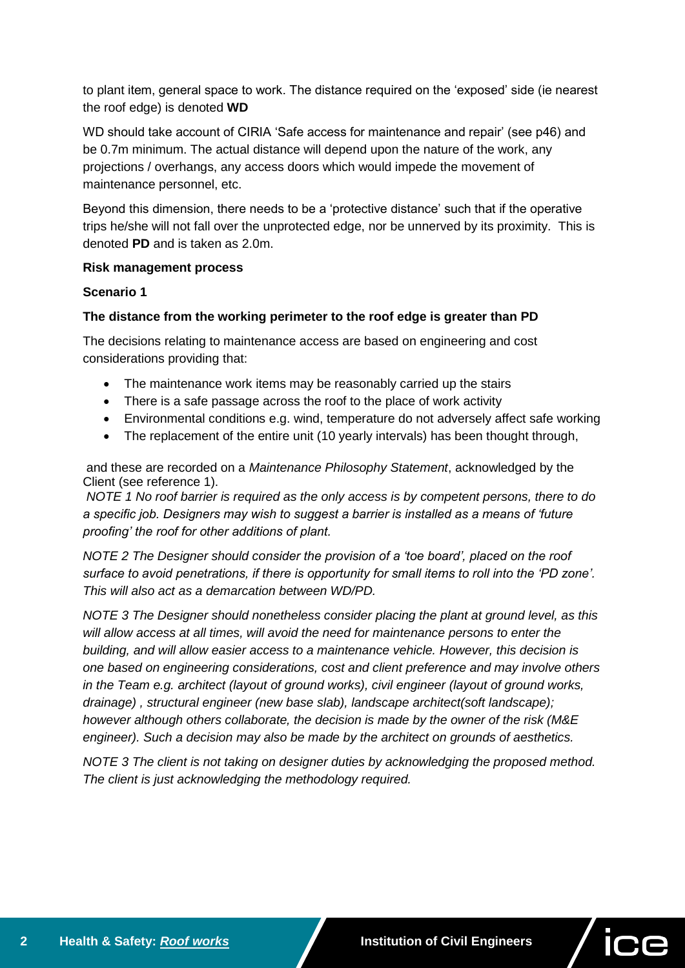to plant item, general space to work. The distance required on the 'exposed' side (ie nearest the roof edge) is denoted **WD**

WD should take account of CIRIA 'Safe access for maintenance and repair' (see p46) and be 0.7m minimum. The actual distance will depend upon the nature of the work, any projections / overhangs, any access doors which would impede the movement of maintenance personnel, etc.

Beyond this dimension, there needs to be a 'protective distance' such that if the operative trips he/she will not fall over the unprotected edge, nor be unnerved by its proximity. This is denoted **PD** and is taken as 2.0m.

#### **Risk management process**

#### **Scenario 1**

## **The distance from the working perimeter to the roof edge is greater than PD**

The decisions relating to maintenance access are based on engineering and cost considerations providing that:

- The maintenance work items may be reasonably carried up the stairs
- There is a safe passage across the roof to the place of work activity
- Environmental conditions e.g. wind, temperature do not adversely affect safe working
- The replacement of the entire unit (10 yearly intervals) has been thought through,

and these are recorded on a *Maintenance Philosophy Statement*, acknowledged by the Client (see reference 1).

*NOTE 1 No roof barrier is required as the only access is by competent persons, there to do a specific job. Designers may wish to suggest a barrier is installed as a means of 'future proofing' the roof for other additions of plant.*

*NOTE 2 The Designer should consider the provision of a 'toe board', placed on the roof surface to avoid penetrations, if there is opportunity for small items to roll into the 'PD zone'. This will also act as a demarcation between WD/PD.*

*NOTE 3 The Designer should nonetheless consider placing the plant at ground level, as this will allow access at all times, will avoid the need for maintenance persons to enter the building, and will allow easier access to a maintenance vehicle. However, this decision is one based on engineering considerations, cost and client preference and may involve others in the Team e.g. architect (layout of ground works), civil engineer (layout of ground works, drainage) , structural engineer (new base slab), landscape architect(soft landscape); however although others collaborate, the decision is made by the owner of the risk (M&E engineer). Such a decision may also be made by the architect on grounds of aesthetics.*

*NOTE 3 The client is not taking on designer duties by acknowledging the proposed method. The client is just acknowledging the methodology required.*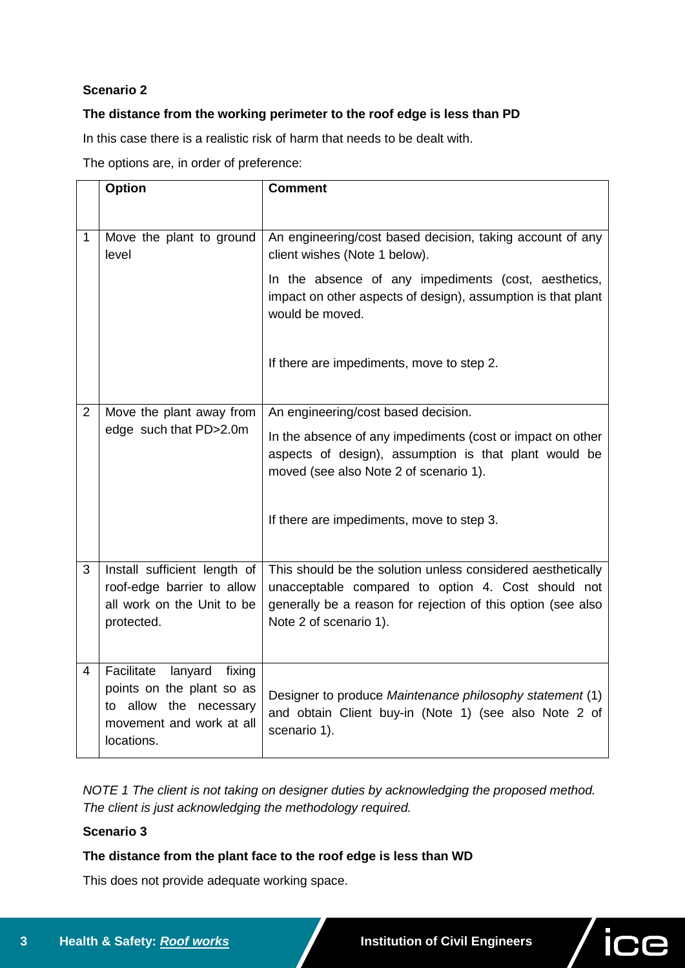# **Scenario 2**

# **The distance from the working perimeter to the roof edge is less than PD**

In this case there is a realistic risk of harm that needs to be dealt with.

The options are, in order of preference:

|              | <b>Option</b>                                                                                                                    | <b>Comment</b>                                                                                                                                                                                              |
|--------------|----------------------------------------------------------------------------------------------------------------------------------|-------------------------------------------------------------------------------------------------------------------------------------------------------------------------------------------------------------|
|              |                                                                                                                                  |                                                                                                                                                                                                             |
| $\mathbf{1}$ | Move the plant to ground<br>level                                                                                                | An engineering/cost based decision, taking account of any<br>client wishes (Note 1 below).                                                                                                                  |
|              |                                                                                                                                  | In the absence of any impediments (cost, aesthetics,<br>impact on other aspects of design), assumption is that plant<br>would be moved.                                                                     |
|              |                                                                                                                                  | If there are impediments, move to step 2.                                                                                                                                                                   |
| 2            | Move the plant away from                                                                                                         | An engineering/cost based decision.                                                                                                                                                                         |
|              | edge such that PD>2.0m                                                                                                           | In the absence of any impediments (cost or impact on other<br>aspects of design), assumption is that plant would be<br>moved (see also Note 2 of scenario 1).                                               |
|              |                                                                                                                                  | If there are impediments, move to step 3.                                                                                                                                                                   |
| 3            | Install sufficient length of<br>roof-edge barrier to allow<br>all work on the Unit to be<br>protected.                           | This should be the solution unless considered aesthetically<br>unacceptable compared to option 4. Cost should not<br>generally be a reason for rejection of this option (see also<br>Note 2 of scenario 1). |
| 4            | Facilitate<br>lanyard<br>fixing<br>points on the plant so as<br>to allow the necessary<br>movement and work at all<br>locations. | Designer to produce Maintenance philosophy statement (1)<br>and obtain Client buy-in (Note 1) (see also Note 2 of<br>scenario 1).                                                                           |

*NOTE 1 The client is not taking on designer duties by acknowledging the proposed method. The client is just acknowledging the methodology required.*

## **Scenario 3**

# **The distance from the plant face to the roof edge is less than WD**

This does not provide adequate working space.

ice